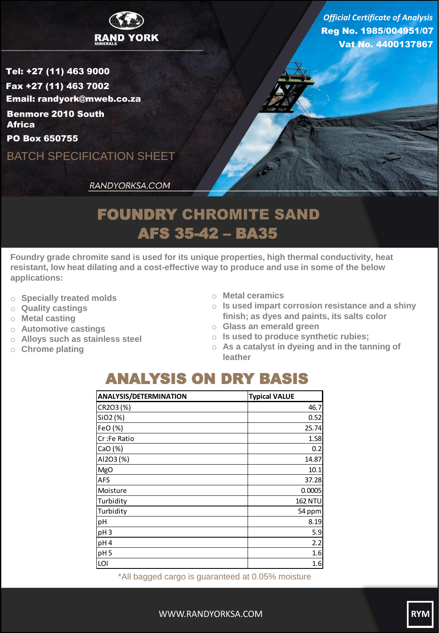

Reg No. 1985/004951/07 Vat No. 4400137867 *Official Certificate of Analysis*

Tel: +27 (11) 463 9000 Fax +27 (11) 463 7002 Email: randyork@mweb.co.za Benmore 2010 South **Africa** 

PO Box 650755

BATCH SPECIFICATION SHEET

RANDYORKSA.COM

## FOUNDRY CHROMITE SAND AFS 35-42 – BA35

**Foundry grade chromite sand is used for its unique properties, high thermal conductivity, heat resistant, low heat dilating and a cost-effective way to produce and use in some of the below applications:**

- o **Specially treated molds**
- o **Quality castings**
- o **Metal casting**
- o **Automotive castings**
- o **Alloys such as stainless steel**
- o **Chrome plating**
- o **Metal ceramics**
- o **Is used impart corrosion resistance and a shiny finish; as dyes and paints, its salts color**
- o **Glass an emerald green**
- o **Is used to produce synthetic rubies;**
- o **As a catalyst in dyeing and in the tanning of leather**

## ANALYSIS ON DRY BASIS

| <b>ANALYSIS/DETERMINATION</b> | <b>Typical VALUE</b> |
|-------------------------------|----------------------|
| CR2O3 (%)                     | 46.7                 |
| SiO2 (%)                      | 0.52                 |
| FeO (%)                       | 25.74                |
| Cr:Fe Ratio                   | 1.58                 |
| CaO(%)                        | 0.2                  |
| AI2O3 (%)                     | 14.87                |
| <b>MgO</b>                    | 10.1                 |
| <b>AFS</b>                    | 37.28                |
| Moisture                      | 0.0005               |
| Turbidity                     | <b>162 NTU</b>       |
| Turbidity                     | 54 ppm               |
| pH                            | 8.19                 |
| pH <sub>3</sub>               | 5.9                  |
| pH4                           | 2.2                  |
| pH <sub>5</sub>               | 1.6                  |
| LOI                           | 1.6                  |

\*All bagged cargo is guaranteed at 0.05% moisture